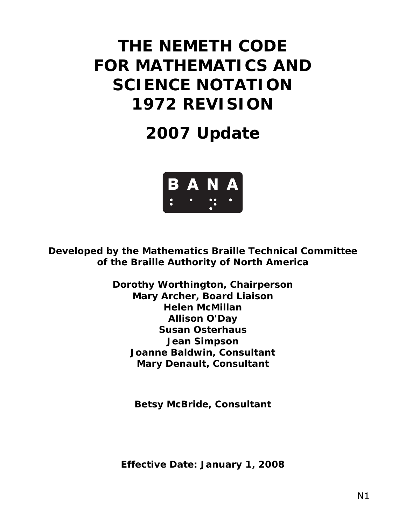# **THE NEMETH CODE FOR MATHEMATICS AND SCIENCE NOTATION 1972 REVISION**

# **2007 Update**



**Developed by the Mathematics Braille Technical Committee of the Braille Authority of North America** 

> **Dorothy Worthington, Chairperson Mary Archer, Board Liaison Helen McMillan Allison O'Day Susan Osterhaus Jean Simpson Joanne Baldwin, Consultant Mary Denault, Consultant**

> > **Betsy McBride, Consultant**

*Effective Date: January 1, 2008*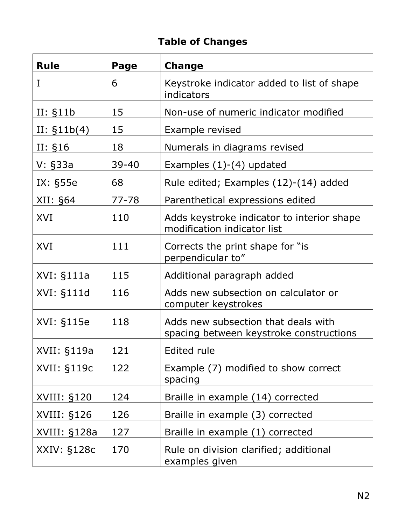# **Table of Changes**

| <b>Rule</b>   | Page      | Change                                                                         |  |  |  |  |  |
|---------------|-----------|--------------------------------------------------------------------------------|--|--|--|--|--|
| I             | 6         | Keystroke indicator added to list of shape<br>indicators                       |  |  |  |  |  |
| II: §11b      | 15        | Non-use of numeric indicator modified                                          |  |  |  |  |  |
| II: $$11b(4)$ | 15        | Example revised                                                                |  |  |  |  |  |
| II: §16       | 18        | Numerals in diagrams revised                                                   |  |  |  |  |  |
| $V: \S33a$    | $39 - 40$ | Examples $(1)-(4)$ updated                                                     |  |  |  |  |  |
| IX: §55e      | 68        | Rule edited; Examples (12)-(14) added                                          |  |  |  |  |  |
| XII: §64      | $77 - 78$ | Parenthetical expressions edited                                               |  |  |  |  |  |
| XVI           | 110       | Adds keystroke indicator to interior shape<br>modification indicator list      |  |  |  |  |  |
| XVI           | 111       | Corrects the print shape for "is"<br>perpendicular to"                         |  |  |  |  |  |
| XVI: §111a    | 115       | Additional paragraph added                                                     |  |  |  |  |  |
| XVI: §111d    | 116       | Adds new subsection on calculator or<br>computer keystrokes                    |  |  |  |  |  |
| XVI: §115e    | 118       | Adds new subsection that deals with<br>spacing between keystroke constructions |  |  |  |  |  |
| XVII: §119a   | 121       | Edited rule                                                                    |  |  |  |  |  |
| XVII: §119c   | 122       | Example (7) modified to show correct<br>spacing                                |  |  |  |  |  |
| XVIII: §120   | 124       | Braille in example (14) corrected                                              |  |  |  |  |  |
| XVIII: §126   | 126       | Braille in example (3) corrected                                               |  |  |  |  |  |
| XVIII: §128a  | 127       | Braille in example (1) corrected                                               |  |  |  |  |  |
| XXIV: §128c   | 170       | Rule on division clarified; additional<br>examples given                       |  |  |  |  |  |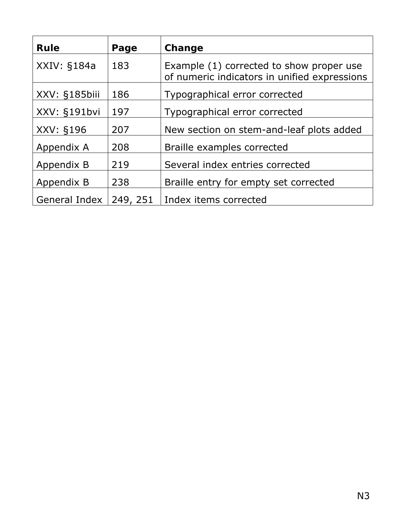| <b>Rule</b>   | Page     | Change                                                                                   |
|---------------|----------|------------------------------------------------------------------------------------------|
| XXIV: §184a   | 183      | Example (1) corrected to show proper use<br>of numeric indicators in unified expressions |
| XXV: §185biii | 186      | Typographical error corrected                                                            |
| XXV: §191bvi  | 197      | Typographical error corrected                                                            |
| XXV: §196     | 207      | New section on stem-and-leaf plots added                                                 |
| Appendix A    | 208      | Braille examples corrected                                                               |
| Appendix B    | 219      | Several index entries corrected                                                          |
| Appendix B    | 238      | Braille entry for empty set corrected                                                    |
| General Index | 249, 251 | Index items corrected                                                                    |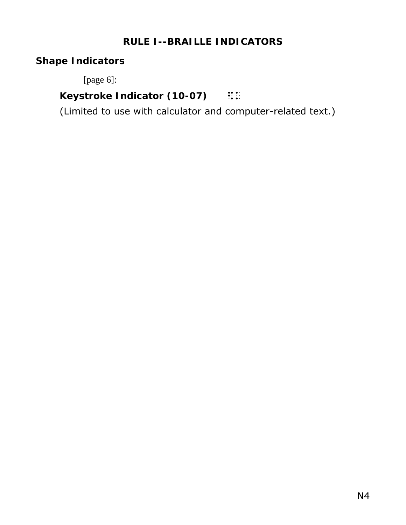### **RULE I--BRAILLE INDICATORS**

# **Shape Indicators**

[page 6]:

# **Keystroke Indicator (10-07)** ::

(Limited to use with calculator and computer-related text.)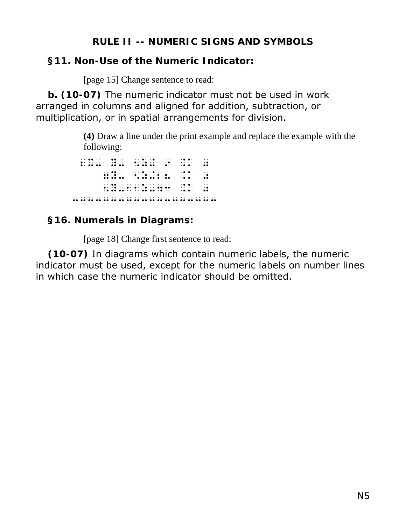#### **RULE II -- NUMERIC SIGNS AND SYMBOLS**

### **§11. Non-Use of the Numeric Indicator:**

[page 15] Change sentence to read:

**b. (10-07)** The numeric indicator must not be used in work arranged in columns and aligned for addition, subtraction, or multiplication, or in spatial arrangements for division.

> **(4)** Draw a line under the print example and replace the example with the following:

 2X- Y- 5Z+ 9 .K 0 7Y- 5Z+28 .K 0 5Y-11Z-43 .K 0. 10 .K 0. 10 .K 0. 10 .K 0. 10 .K 0. 10 .K 0. 10 .K 0. 10 .K 0. 10 .K 0. 10 .K 0. 10 .K 0. 10 .<br>5Y-11Z-43 .K 0. 10 .K 0. 10 .K 0. 10 .K 0. 10 .K 0. 10 .K 0. 10 .K 0. 10 .K 0. 10 .K 0. 10 .K 0. 10 .K 0. 10 .<br> 3333333333333333333

## **§16. Numerals in Diagrams:**

[page 18] Change first sentence to read:

**(10-07)** In diagrams which contain numeric labels, the numeric indicator must be used, except for the numeric labels on number lines in which case the numeric indicator should be omitted.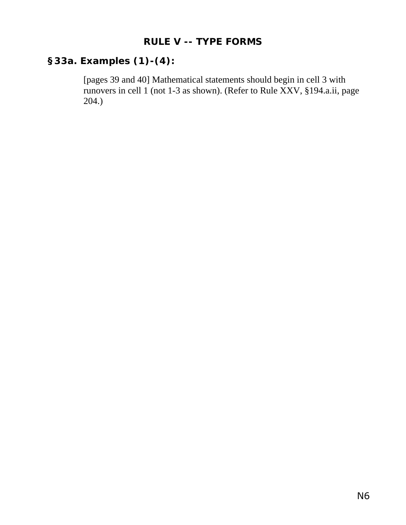#### **RULE V -- TYPE FORMS**

# **§33a. Examples (1)-(4):**

[pages 39 and 40] Mathematical statements should begin in cell 3 with runovers in cell 1 (not 1-3 as shown). (Refer to Rule XXV, §194.a.ii, page 204.)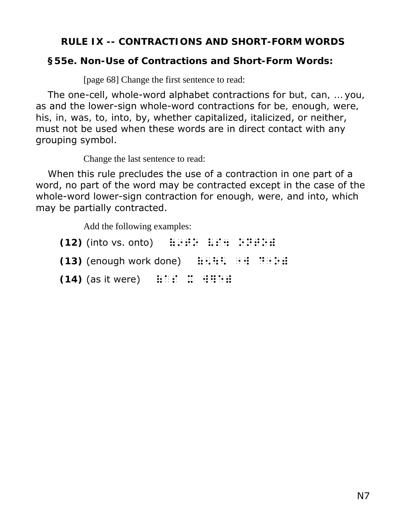#### **RULE IX -- CONTRACTIONS AND SHORT-FORM WORDS**

#### **§55e. Non-Use of Contractions and Short-Form Words:**

[page 68] Change the first sentence to read:

The one-cell, whole-word alphabet contractions for *but, can, … you, as* and the lower-sign whole-word contractions for *be, enough, were, his, in, was, to, into, by*, whether capitalized, italicized, or neither, must not be used when these words are in direct contact with any grouping symbol.

Change the last sentence to read:

When this rule precludes the use of a contraction in one part of a word, no part of the word may be contracted except in the case of the whole-word lower-sign contraction for *enough, were,* and *into*, which may be partially contracted.

Add the following examples:

 $(12)$  (into vs. onto)  $\therefore$   $\therefore$   $\therefore$   $\therefore$   $\therefore$   $\therefore$   $\therefore$   $\therefore$   $\therefore$   $\therefore$   $\therefore$   $\therefore$   $\therefore$   $\therefore$   $\therefore$   $\therefore$   $\therefore$   $\therefore$   $\therefore$   $\therefore$   $\therefore$   $\therefore$   $\therefore$   $\therefore$   $\therefore$   $\therefore$   $\therefore$   $\therefore$   $\therefore$   $\therefore$   $\therefore$   $\therefore$   $\therefore$  **(13)** (enough work done)  $\mathbb{H} \oplus \mathbb{H} \oplus \mathbb{H} \oplus \mathbb{H} \oplus \mathbb{H}$ **(14)** (as it were)  $\therefore$   $\therefore$   $\therefore$   $\therefore$   $\therefore$   $\therefore$   $\therefore$   $\therefore$   $\therefore$   $\therefore$   $\therefore$   $\therefore$   $\therefore$   $\therefore$   $\therefore$   $\therefore$   $\therefore$   $\therefore$   $\therefore$   $\therefore$   $\therefore$   $\therefore$   $\therefore$   $\therefore$   $\therefore$   $\therefore$   $\therefore$   $\therefore$   $\therefore$   $\therefore$   $\therefore$   $\therefore$   $\therefore$   $\there$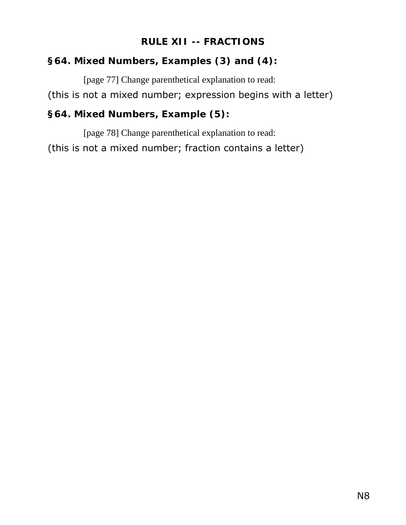#### **RULE XII -- FRACTIONS**

#### **§64. Mixed Numbers, Examples (3) and (4):**

[page 77] Change parenthetical explanation to read:

(this is not a mixed number; expression begins with a letter)

## **§64. Mixed Numbers, Example (5):**

[page 78] Change parenthetical explanation to read: (this is not a mixed number; fraction contains a letter)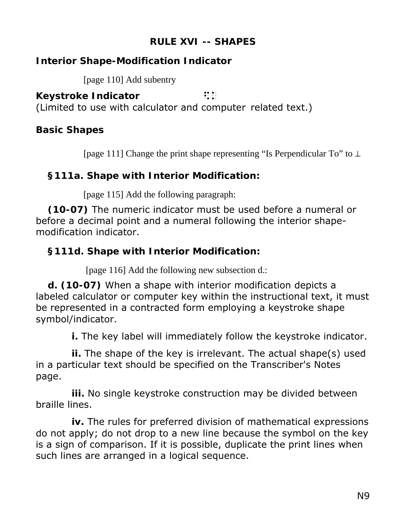#### **RULE XVI -- SHAPES**

## **Interior Shape-Modification Indicator**

[page 110] Add subentry

**Keystroke Indicator ::**:

(Limited to use with calculator and computer related text.)

### **Basic Shapes**

[page 111] Change the print shape representing "Is Perpendicular To" to ⊥

#### **§111a. Shape with Interior Modification:**

[page 115] Add the following paragraph:

**(10-07)** The numeric indicator must be used before a numeral or before a decimal point and a numeral following the interior shapemodification indicator.

## **§111d. Shape with Interior Modification:**

[page 116] Add the following new subsection d.:

**d. (10-07)** When a shape with interior modification depicts a labeled calculator or computer key within the instructional text, it must be represented in a contracted form employing a keystroke shape symbol/indicator.

**i.** The key label will immediately follow the keystroke indicator.

**ii.** The shape of the key is irrelevant. The actual shape(s) used in a particular text should be specified on the Transcriber's Notes page.

**iii.** No single keystroke construction may be divided between braille lines.

**iv.** The rules for preferred division of mathematical expressions do not apply; do not drop to a new line because the symbol on the key is a sign of comparison. If it is possible, duplicate the print lines when such lines are arranged in a logical sequence.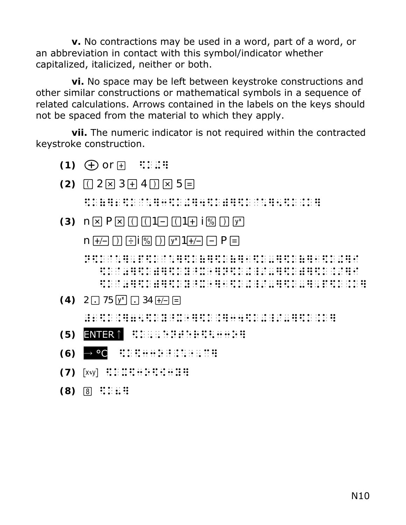**v.** No contractions may be used in a word, part of a word, or an abbreviation in contact with this symbol/indicator whether capitalized, italicized, neither or both.

**vi.** No space may be left between keystroke constructions and other similar constructions or mathematical symbols in a sequence of related calculations. Arrows contained in the labels on the keys should not be spaced from the material to which they apply.

**vii.** The numeric indicator is not required within the contracted keystroke construction.

- **(1)**  $\bigoplus$  *or*  $\bigoplus$  **:::::!!**
- $(2)$   $\Box$   $2 \times 3 + 4 \times \Box$   $5 =$ \$k(}2\$k`\*}3\$k+}4\$k)}\$k`\*}5\$k.k}
- **(3)**  $n \times P \times \Pi \Pi \Pi 1 = \Pi 1 + \Xi \Pi \Pi \nu^{x}$ 
	- $n \div n \div$   $\div$   $n \times 1 \div n \div$   $n \times 1$

 n\$k@\*],p\$k@\*]\$k(]\$k(]1\$k-]\$k(]1\$k+]i  $\ddot{x}$  is the sky. However, the sky. However, the sky. In the sky. However, the sky. However, the sky. \$k@0]\$k)]\$ky^x"]1\$k+\_/-]\$k-],p\$k.k]

 $(4)$  2  $\Box$  75  $\boxed{y^n}$   $\Box$  34  $\boxed{+}$ 

 $\frac{1}{2}$  k. 26 k. 16 k. 175 k. 175 k. 26 k. 275 k. 175 k. 175 k. 175 k. 175 k. 175 k. 175 k. 175 k. 175 k. 17<br>25 k. 175 k. 175 k. 184 k. 184 k. 184 k. 184 k. 184 k. 184 k. 184 k. 184 k. 184 k. 184 k. 184 k. 184 k. 184 k<br>

- **(5)** ENTER↑ **BEDGGBBBBBBBBBBBB**
- $(6)$   $\rightarrow$  °C  $\frac{1}{2}$ ;  $\frac{1}{2}$ ;  $\frac{1}{2}$ ;  $\frac{1}{2}$ ;  $\frac{1}{2}$ ;  $\frac{1}{2}$ ;  $\frac{1}{2}$ ;  $\frac{1}{2}$ ;  $\frac{1}{2}$ ;  $\frac{1}{2}$ ;  $\frac{1}{2}$ ;  $\frac{1}{2}$ ;  $\frac{1}{2}$ ;  $\frac{1}{2}$ ;  $\frac{1}{2}$ ;  $\frac{1}{2}$ ;  $\frac{1}{2}$ ;  $\frac{1}{2}$ ;  $\frac{1}{2}$
- $(7)$   $[x:y]$   $::::::::::::::::::::::$
- $(8)$  8  $\cdots$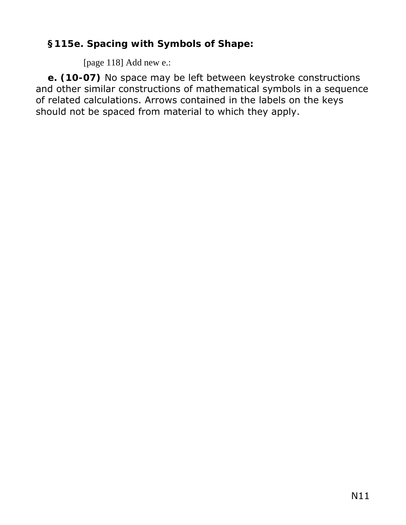# **§115e. Spacing with Symbols of Shape:**

[page 118] Add new e.:

**e. (10-07)** No space may be left between keystroke constructions and other similar constructions of mathematical symbols in a sequence of related calculations. Arrows contained in the labels on the keys should not be spaced from material to which they apply.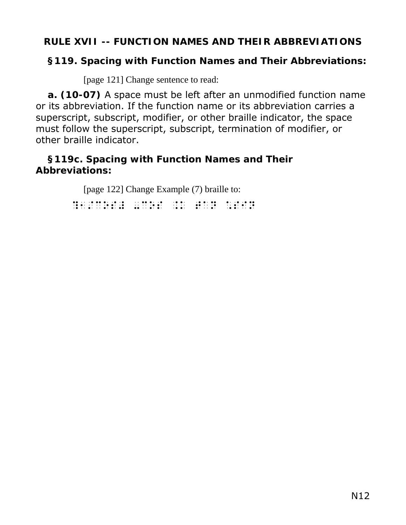#### **RULE XVII -- FUNCTION NAMES AND THEIR ABBREVIATIONS**

#### **§119. Spacing with Function Names and Their Abbreviations:**

[page 121] Change sentence to read:

**a. (10-07)** A space must be left after an unmodified function name or its abbreviation. If the function name or its abbreviation carries a superscript, subscript, modifier, or other braille indicator, the space must follow the superscript, subscript, termination of modifier, or other braille indicator.

#### **§119c. Spacing with Function Names and Their Abbreviations:**

[page 122] Change Example (7) braille to:

.<br>1980 - Liston Land, amerikansk politiker (\* 1980)<br>1980 - Liston Land, amerikansk politiker (\* 1980)<br>1980 - Liston Land, amerikansk politiker (\* 1980)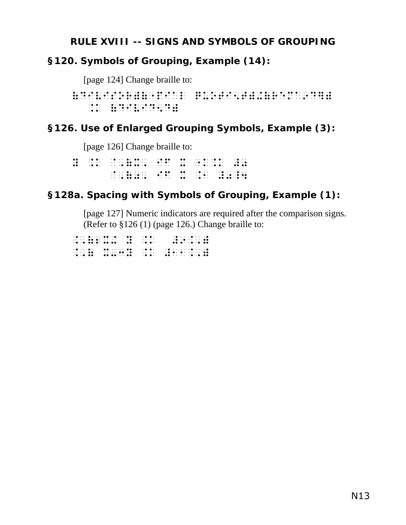#### **RULE XVIII -- SIGNS AND SYMBOLS OF GROUPING**

## **§120. Symbols of Grouping, Example (14):**

[page 124] Change braille to:

(DIVISOR)("PIAL QUOTI5T)+(REMA9D])  $1.6$  (D)  $1.6$  (D)  $1.6$  (D)  $1.6$  (D)  $1.6$  (D)  $1.6$  (D)  $1.6$  (D)  $1.6$  (D)  $1.6$  (D)  $1.6$  (D)  $1.6$  (D)  $1.6$  (D)  $1.6$  (D)  $1.6$  (D)  $1.6$  (D)  $1.6$  (D)  $1.6$  (D)  $1.6$  (D)  $1.6$  (D)  $1.6$  (D)  $1.6$  (D)  $1.6$  (D)

# **§126. Use of Enlarged Grouping Symbols, Example (3):**

[page 126] Change braille to:

Y .K @,(X, IF X "K.K #0 @,(0, IF X .1 #0\_4

# **§128a. Spacing with Symbols of Grouping, Example (1):**

[page 127] Numeric indicators are required after the comparison signs. (Refer to §126 (1) (page 126.) Change braille to:

.,(2X+ Y .K #9.,) .,( X-3Y .K #11.,)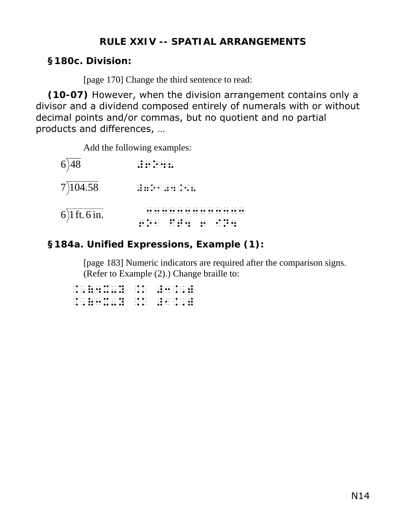#### **RULE XXIV -- SPATIAL ARRANGEMENTS**

#### **§180c. Division:**

[page 170] Change the third sentence to read:

**(10-07)** However, when the division arrangement contains only a divisor and a dividend composed entirely of numerals with or without decimal points and/or commas, but no quotient and no partial products and differences, …

Add the following examples:

| 6)48          |                                                                                                                                                                                                                                                                                                                                                                                                                                                                                     |
|---------------|-------------------------------------------------------------------------------------------------------------------------------------------------------------------------------------------------------------------------------------------------------------------------------------------------------------------------------------------------------------------------------------------------------------------------------------------------------------------------------------|
| 7)104.58      | $\mathcal{A} \oplus \mathcal{A} \oplus \mathcal{A} \oplus \mathcal{A} \oplus \mathcal{A} \oplus \mathcal{A} \oplus \mathcal{A} \oplus \mathcal{A} \oplus \mathcal{A} \oplus \mathcal{A} \oplus \mathcal{A} \oplus \mathcal{A} \oplus \mathcal{A} \oplus \mathcal{A} \oplus \mathcal{A} \oplus \mathcal{A} \oplus \mathcal{A} \oplus \mathcal{A} \oplus \mathcal{A} \oplus \mathcal{A} \oplus \mathcal{A} \oplus \mathcal{A} \oplus \mathcal{A} \oplus \mathcal{A} \oplus \mathcal{$ |
| 6)1 ft. 6 in. | <br>$\bullet$ .<br>$\bullet\bullet$<br>.<br>$\cdots$<br>.<br>$\bullet$ .<br>$\cdots$                                                                                                                                                                                                                                                                                                                                                                                                |

#### **§184a. Unified Expressions, Example (1):**

[page 183] Numeric indicators are required after the comparison signs. (Refer to Example (2).) Change braille to:

|                                        | $\cdot$  |                                                                                                                                                                    |
|----------------------------------------|----------|--------------------------------------------------------------------------------------------------------------------------------------------------------------------|
|                                        | $\cdots$ |                                                                                                                                                                    |
| $\cdot$ a $\cdot$ a $\cdot$ a as as as | $\cdot$  | $\bullet\bullet\hspace{0.2cm}\cdots\hspace{0.2cm}\bullet\hspace{0.2cm}\bullet\hspace{0.2cm}\bullet\hspace{0.2cm}\bullet\hspace{0.2cm}\bullet\hspace{0.2cm}\bullet$ |
|                                        | $\cdot$  |                                                                                                                                                                    |
|                                        | $\cdots$ |                                                                                                                                                                    |
|                                        | $\cdot$  | . <b>. .</b>                                                                                                                                                       |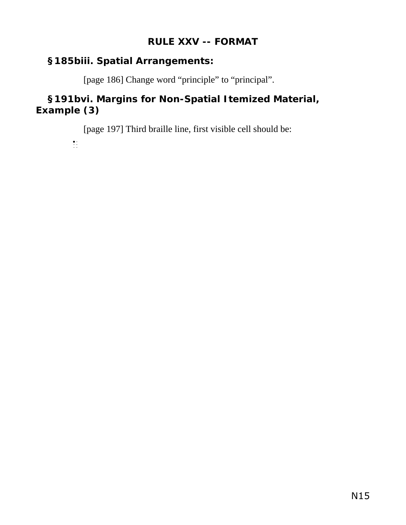#### **RULE XXV -- FORMAT**

#### **§185biii. Spatial Arrangements:**

[page 186] Change word "principle" to "principal".

### **§191bvi. Margins for Non-Spatial Itemized Material, Example (3)**

[page 197] Third braille line, first visible cell should be:

 $\frac{1}{2}$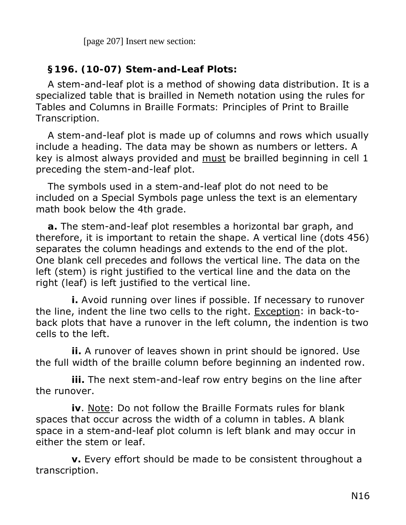[page 207] Insert new section:

#### **§196. (10-07) Stem-and-Leaf Plots:**

A stem-and-leaf plot is a method of showing data distribution. It is a specialized table that is brailled in Nemeth notation using the rules for Tables and Columns in *Braille Formats: Principles of Print to Braille Transcription.* 

A stem-and-leaf plot is made up of columns and rows which usually include a heading. The data may be shown as numbers or letters. A key is almost always provided and must be brailled beginning in cell 1 preceding the stem-and-leaf plot.

The symbols used in a stem-and-leaf plot do not need to be included on a Special Symbols page unless the text is an elementary math book below the 4th grade.

**a.** The stem-and-leaf plot resembles a horizontal bar graph, and therefore, it is important to retain the shape. A vertical line (dots 456) separates the column headings and extends to the end of the plot. One blank cell precedes and follows the vertical line. The data on the left (stem) is right justified to the vertical line and the data on the right (leaf) is left justified to the vertical line.

**i.** Avoid running over lines if possible. If necessary to runover the line, indent the line two cells to the right. Exception: in back-toback plots that have a runover in the left column, the indention is two cells to the left.

**ii.** A runover of leaves shown in print should be ignored. Use the full width of the braille column before beginning an indented row.

**iii.** The next stem-and-leaf row entry begins on the line after the runover.

**iv**. Note: Do not follow the *Braille Formats* rules for blank spaces that occur across the width of a column in tables. A blank space in a stem-and-leaf plot column is left blank and may occur in either the stem or leaf.

**v.** Every effort should be made to be consistent throughout a transcription.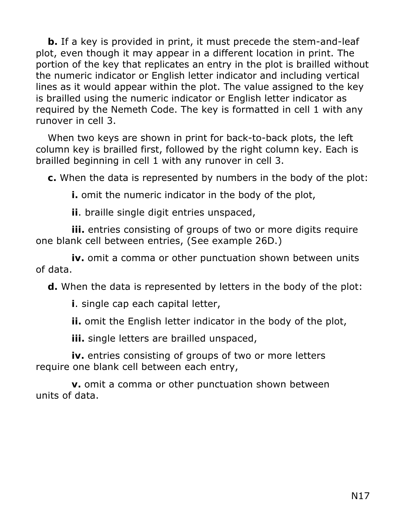**b.** If a key is provided in print, it must precede the stem-and-leaf plot, even though it may appear in a different location in print. The portion of the key that replicates an entry in the plot is brailled without the numeric indicator or English letter indicator and including vertical lines as it would appear within the plot. The value assigned to the key is brailled using the numeric indicator or English letter indicator as required by the Nemeth Code. The key is formatted in cell 1 with any runover in cell 3.

When two keys are shown in print for back-to-back plots, the left column key is brailled first, followed by the right column key. Each is brailled beginning in cell 1 with any runover in cell 3.

**c.** When the data is represented by numbers in the body of the plot:

**i.** omit the numeric indicator in the body of the plot,

**ii**. braille single digit entries unspaced,

**iii.** entries consisting of groups of two or more digits require one blank cell between entries, (*See example 26D*.)

**iv.** omit a comma or other punctuation shown between units of data.

**d.** When the data is represented by letters in the body of the plot:

**i**. single cap each capital letter,

**ii.** omit the English letter indicator in the body of the plot,

**iii.** single letters are brailled unspaced,

**iv.** entries consisting of groups of two or more letters require one blank cell between each entry,

**v.** omit a comma or other punctuation shown between units of data.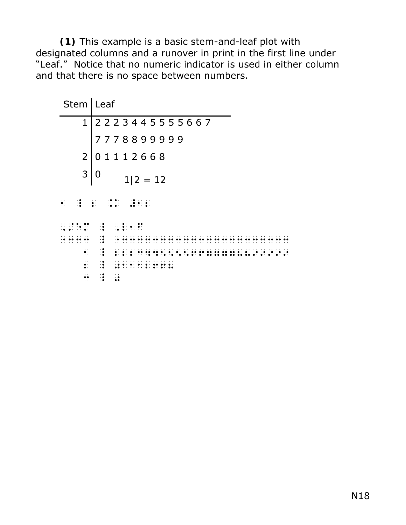**(1)** This example is a basic stem-and-leaf plot with designated columns and a runover in print in the first line under "Leaf." Notice that no numeric indicator is used in either column and that there is no space between numbers.

| Stem   Leaf                                |                                  |
|--------------------------------------------|----------------------------------|
|                                            | 1 2 2 2 3 4 4 5 5 5 5 6 6 7      |
|                                            | 7778899999                       |
| $2^{\circ}$                                | 01112668                         |
| 3                                          | 0<br>$1/2 = 12$                  |
| $\mathbb{R}^2$                             | $\ddot{\cdot}$                   |
|                                            | $\dddot{\bullet}$                |
|                                            | .<br>$\cdot\bullet$              |
| $\cdot$ .<br>$\ddot{\cdot}$ :              | $\ddot{\cdot}$                   |
| $\ddot{\phantom{0}}$<br>$\ddot{\bullet}$ : | $\cdot\bullet$<br>$\ddot{\cdot}$ |
|                                            | $\ddot{\cdot}$                   |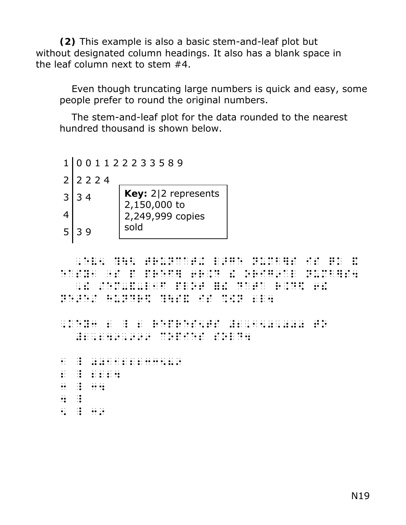**(2)** This example is also a basic stem-and-leaf plot but without designated column headings. It also has a blank space in the leaf column next to stem #4.

Even though truncating large numbers is quick and easy, some people prefer to round the original numbers.

The stem-and-leaf plot for the data rounded to the nearest hundred thousand is shown below.

1 0 0 1 1 2 2 2 3 3 5 8 9  $2 2 2 2 4$  $3 \mid 3 \mid 4$ 4  $5 \mid 39$ **Key:** 2|2 represents 2,150,000 to 2,249,999 copies sold

 ,EV5 ?\< TRUNCAT+ L>GE NUMB]S IS QK & EASY AND AND THE THE RESEARCH OF THE RESEARCH THE RESEARCH OF THE RESEARCH OF THE RESEARCH OF THE RESEARCH OF<br>The research of the Research of the Research of the Research of the Research Of the Research of the Research O<br>T ,! /EM-&-L1F PLOT =! DATA R.D\$ 6! NEXT AN ORIGINAL COMPANY OF THE RESIDENT AND RELEASE OF THE RESIDENT AND RELEASE OF THE RELEASE OF THE RELEASE<br>The Release of the Release of the Release of the Release of the Release of the Release of the Release of the R<br>

, KEYS AN AN ISLAM (THE THE THE SERVE AND A REPRESENTATIVE AND THE SERVE AND A SERVE AND A SERVE AND A SERVE A<br>The serve and an internal state and the serve and an annual serve and the server and a serve and an internal s<br> #2,249,999 COPIES SOLD4, 2009 COPIES SOLD4, 2009 COPIES SOLD4, 2009 COPIES SOLD4, 2009 COPIES SOLD4, 2009 COPI<br>2,249,999 COPIES SOLD4, 2009 COPIES SOLD4, 2009 COPIES SOLD4, 2009 COPIES SOLD4, 2009 COPIES SOLD4, 2009 COPI

1 \_ 001122233589 2 2224  $\frac{3}{2}$   $\frac{3}{2}$   $\frac{3}{2}$   $\frac{3}{2}$   $\frac{3}{2}$  $\frac{1}{2}$   $\frac{1}{2}$  $\ddot{5}$   $\ddot{3}$   $\ddot{6}$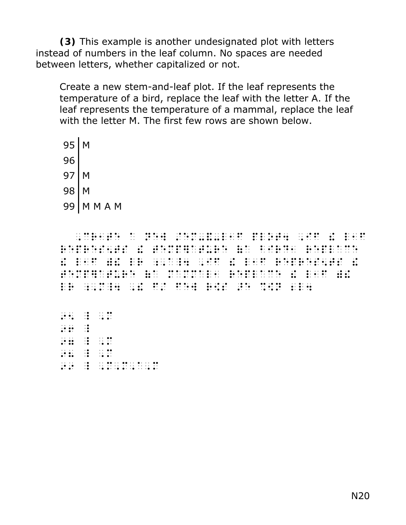**(3)** This example is another undesignated plot with letters instead of numbers in the leaf column. No spaces are needed between letters, whether capitalized or not.

Create a new stem-and-leaf plot. If the leaf represents the temperature of a bird, replace the leaf with the letter *A*. If the leaf represents the temperature of a mammal, replace the leaf with the letter M. The first few rows are shown below.

 $95$  M 96  $97$  M 98 M 99 M M A M

 ,CR1TE A NEW /EM-&-L1F PLOT4 ,IF ! l1F REPRESENT IN THE REPLACEMENT OF THE REPLACEMENT IN THE REPLACEMENT IN THE REPLACEMENT IN THE REPLACEMENT IN TH<br>REPLACEMENT IN THE REPLACEMENT IN THE REPLACEMENT IN THE REPLACEMENT IN THE REPLACEMENT IN THE REPLACEMENT OF  $\mathbf{1}$  , and the state  $\mathbf{1}$  , and  $\mathbf{1}$  ,  $\mathbf{1}$  ,  $\mathbf{1}$  ,  $\mathbf{1}$  ,  $\mathbf{1}$  ,  $\mathbf{1}$  ,  $\mathbf{1}$  ,  $\mathbf{1}$  ,  $\mathbf{1}$  ,  $\mathbf{1}$  ,  $\mathbf{1}$  ,  $\mathbf{1}$  ,  $\mathbf{1}$  ,  $\mathbf{1}$  ,  $\mathbf{1}$  ,  $\mathbf{1}$  ,  $\mathbf{$ TEMP]ATURE (A MAMMAL1 REPLACE ! L1F )! LR ; MARINE AR (1993) LA CARA (1993) LA CARA (1994) LA CARA (1994) LA CARA (1994) LA CARA (1994) LA CARA (1994<br>1946 – LA CARA (1994) LA CARA (1994) LA CARA (1994) LA CARA (1994) LA CARA (1994) LA CARA (1994) LA CARA (199<br>1

 $95 - 91$  $99 - 9$  $\frac{1}{27}$   $\frac{1}{12}$   $\frac{1}{27}$   $\frac{1}{27}$   $\frac{1}{27}$   $\frac{1}{27}$  $98.98 \pm 0.000$ 99 \_ ,M,M,A,M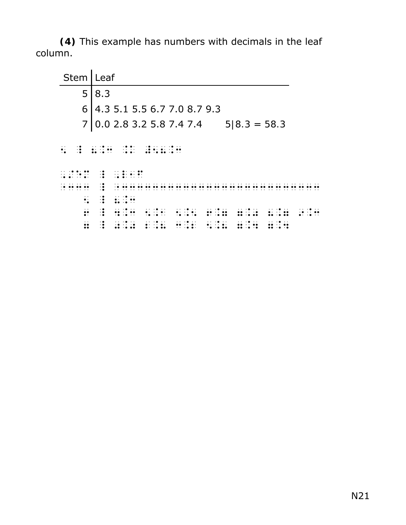**(4)** This example has numbers with decimals in the leaf column.

| Stem                 | Leaf                                           |                                                                     |                                               |           |  |                                                                                      |   |          |                                    |         |                             |  |                      |          |                |  |                   |  |  |  |
|----------------------|------------------------------------------------|---------------------------------------------------------------------|-----------------------------------------------|-----------|--|--------------------------------------------------------------------------------------|---|----------|------------------------------------|---------|-----------------------------|--|----------------------|----------|----------------|--|-------------------|--|--|--|
| 5                    | 8.3                                            |                                                                     |                                               |           |  |                                                                                      |   |          |                                    |         |                             |  |                      |          |                |  |                   |  |  |  |
| 6                    | 4.3 5.1 5.5 6.7 7.0 8.7 9.3                    |                                                                     |                                               |           |  |                                                                                      |   |          |                                    |         |                             |  |                      |          |                |  |                   |  |  |  |
| $\overline{7}$       | 0.0 2.8 3.2 5.8 7.4 7.4                        |                                                                     |                                               |           |  |                                                                                      |   |          |                                    |         |                             |  |                      |          | $5/8.3 = 58.3$ |  |                   |  |  |  |
| $\dddot{\bullet}$    |                                                |                                                                     | $\sim$ $\sim$ $\sim$ $\sim$ $\sim$<br>$\cdot$ |           |  |                                                                                      |   |          |                                    |         |                             |  |                      |          |                |  |                   |  |  |  |
| . <b>. . .</b> .     | $\ddot{\mathbf{z}}$<br>$\cdot \bullet$         | $\cdots$                                                            |                                               |           |  |                                                                                      |   |          |                                    |         |                             |  |                      |          |                |  |                   |  |  |  |
|                      | $\cdot\bullet$<br>$\cdot \bullet$<br>$\cdot$ . |                                                                     |                                               |           |  |                                                                                      |   |          |                                    |         |                             |  |                      |          |                |  |                   |  |  |  |
| $\ddot{\cdot}$       | $\frac{1}{2}$                                  | $\cdots$ . $\bullet$<br>$\bullet\cdot\;\;\cdot\;\;\bullet\;\bullet$ |                                               |           |  |                                                                                      |   |          |                                    |         |                             |  |                      |          |                |  |                   |  |  |  |
| $\ddot{•}$           | $\cdot\bullet$<br>$\dddot{\bullet}$            | $\cdots$ . $\bullet$<br>$\cdots$<br>$\cdot$                         |                                               |           |  | $\cdots$ . $\bullet$                                                                 |   | $\cdots$ |                                    |         | $\cdot \bullet \cdot \cdot$ |  | $\cdots$ . $\bullet$ | $\cdots$ |                |  | $\cdot \cdot$<br> |  |  |  |
| $\ddot{\phantom{a}}$ | ः                                              | $\cdots$                                                            |                                               | $\cdot$ . |  | $\bullet\cdot\cdot\cdot\bullet\cdot$<br>$\bullet\cdot\ \cdot\bullet\ \bullet\bullet$ | . |          | $\cdot$ .<br>$\cdot$ . $\bullet$ . | $\cdot$ | $\cdot$<br>$\cdots$ .       |  | $\cdots$             | $\cdots$ |                |  |                   |  |  |  |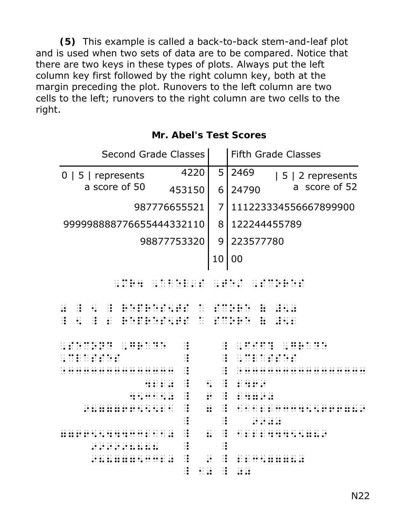**(5)** This example is called a back-to-back stem-and-leaf plot and is used when two sets of data are to be compared. Notice that there are two keys in these types of plots. Always put the left column key first followed by the right column key, both at the margin preceding the plot. Runovers to the left column are two cells to the left; runovers to the right column are two cells to the right.

| <b>Second Grade Classes</b>                                                                                                                                                                              |                                                                | <b>Fifth Grade Classes</b>                                                                                      |  |  |  |  |  |  |  |
|----------------------------------------------------------------------------------------------------------------------------------------------------------------------------------------------------------|----------------------------------------------------------------|-----------------------------------------------------------------------------------------------------------------|--|--|--|--|--|--|--|
| $0 \mid 5 \mid$ represents                                                                                                                                                                               | 5<br>4220                                                      | 2469<br>$ 5 2$ represents                                                                                       |  |  |  |  |  |  |  |
| a score of 50                                                                                                                                                                                            | 453150<br>6                                                    | a score of 52<br>24790                                                                                          |  |  |  |  |  |  |  |
|                                                                                                                                                                                                          | 987776655521<br>$\overline{7}$                                 | 111223334556667899900                                                                                           |  |  |  |  |  |  |  |
| 999998888776655444332110                                                                                                                                                                                 | 8                                                              | 122244455789                                                                                                    |  |  |  |  |  |  |  |
|                                                                                                                                                                                                          | 9<br>98877753320                                               | 223577780                                                                                                       |  |  |  |  |  |  |  |
|                                                                                                                                                                                                          | 10                                                             | 00                                                                                                              |  |  |  |  |  |  |  |
|                                                                                                                                                                                                          |                                                                |                                                                                                                 |  |  |  |  |  |  |  |
| $\frac{1}{2}$ $\frac{1}{2}$ $\frac{1}{2}$ $\frac{1}{2}$ $\frac{1}{2}$ $\frac{1}{2}$                                                                                                                      |                                                                |                                                                                                                 |  |  |  |  |  |  |  |
| $\ddot{\cdot}$                                                                                                                                                                                           |                                                                | $\frac{1}{2}$                                                                                                   |  |  |  |  |  |  |  |
| $\mathbb{R}$<br>$\frac{1}{2}$<br>$\frac{1}{2}$<br>$\mathbf{E}$<br>$\frac{1}{20}$ $\frac{1}{20}$ $\frac{1}{20}$ $\frac{1}{20}$ $\frac{1}{20}$ $\frac{1}{20}$ $\frac{1}{20}$ $\frac{1}{20}$ $\frac{1}{20}$ | $\ddot{\ddot{\cdot}}$                                          | $\ddot{\mathbf{u}}$<br><b>REAL</b><br>$\ddot{\cdot}$                                                            |  |  |  |  |  |  |  |
|                                                                                                                                                                                                          | $\ddot{\cdot}$<br>$\ddot{\cdot}$                               |                                                                                                                 |  |  |  |  |  |  |  |
| 11 99 91 91 19 19 19 91 19<br>14 11 91 11 12 91 91 10 10                                                                                                                                                 | $\ddot{\cdot}$<br>$\dddot{\bullet}$                            |                                                                                                                 |  |  |  |  |  |  |  |
|                                                                                                                                                                                                          | $\ddot{\cdot}$                                                 |                                                                                                                 |  |  |  |  |  |  |  |
| <b>WEB 2002</b>                                                                                                                                                                                          | $\ddot{\cdot}$<br>$\ddot{\cdot}$<br>$\frac{1}{2}$              | $\ddot{z}$ is the $\ddot{z}$                                                                                    |  |  |  |  |  |  |  |
|                                                                                                                                                                                                          | $\ddot{\mathbf{e}}$<br>$\ddot{\cdot}$<br>$\frac{1}{2}$         | $\frac{1}{2}$ $\frac{1}{2}$ $\frac{1}{2}$ $\frac{1}{2}$ $\frac{1}{2}$ $\frac{1}{2}$ $\frac{1}{2}$ $\frac{1}{2}$ |  |  |  |  |  |  |  |
|                                                                                                                                                                                                          | $\ddot{\cdot}$<br>$\ddot{•}$<br>$\dddot{\bullet}$              | .<br>$\frac{1}{2}$                                                                                              |  |  |  |  |  |  |  |
|                                                                                                                                                                                                          | $\ddot{\cdot}$<br>$\ddot{\cdot}$                               | <b>REAR AND AN</b>                                                                                              |  |  |  |  |  |  |  |
| .                                                                                                                                                                                                        | $\ddot{\cdot}$<br>$\ddot{\cdot}$<br>$\ddot{\cdot}$             |                                                                                                                 |  |  |  |  |  |  |  |
|                                                                                                                                                                                                          | $\ddot{\cdot}$<br>$\ddot{\cdot}$                               |                                                                                                                 |  |  |  |  |  |  |  |
| $\ddotsc$ $\ddotsc$ $\ddotsc$ $\ddotsc$ $\ddotsc$ $\ddotsc$ $\ddotsc$                                                                                                                                    | $\ddot{\cdot}$<br>$\ddot{\cdot}$<br>∷                          |                                                                                                                 |  |  |  |  |  |  |  |
|                                                                                                                                                                                                          | $\dddot{\bullet}$<br>$\ddot{\bullet}$<br>$\ddot{\ddot{\cdot}}$ | $\ddot{\ddot{\bm{x}}}$                                                                                          |  |  |  |  |  |  |  |

#### **Mr. Abel's Test Scores**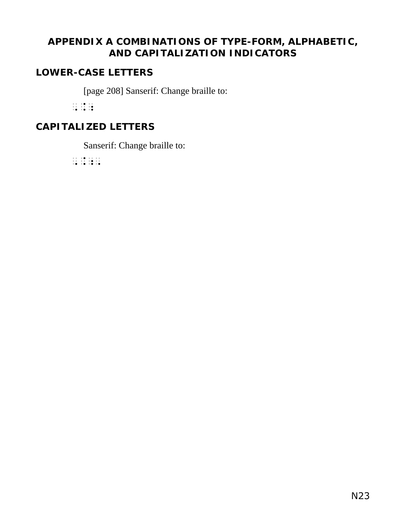# **APPENDIX A COMBINATIONS OF TYPE-FORM, ALPHABETIC, AND CAPITALIZATION INDICATORS**

#### **LOWER-CASE LETTERS**

[page 208] Sanserif: Change braille to:

,.;

# **CAPITALIZED LETTERS**

Sanserif: Change braille to:

,.;,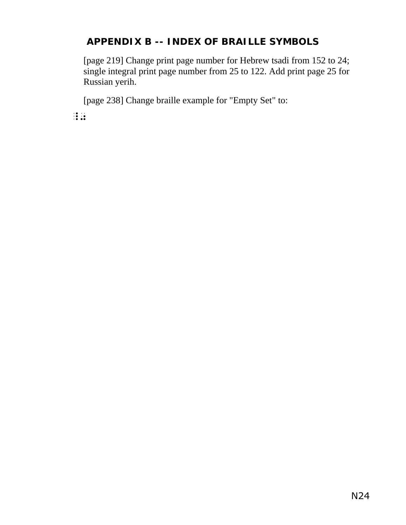# **APPENDIX B -- INDEX OF BRAILLE SYMBOLS**

[page 219] Change print page number for Hebrew tsadi from 152 to 24; single integral print page number from 25 to 122. Add print page 25 for Russian yerih.

[page 238] Change braille example for "Empty Set" to:

 $\frac{1}{2}$